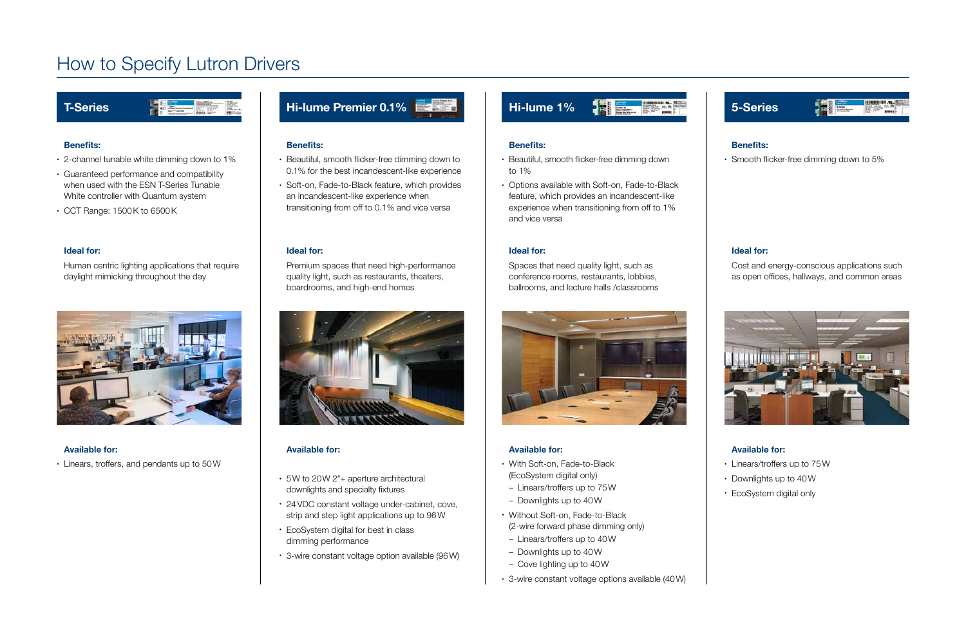#### Benefits:

- 2-channel tunable white dimming down to 1%
- Guaranteed performance and compatibility when used with the ESN T-Series Tunable White controller with Quantum system
- CCT Range: 1500K to 6500K

#### Ideal for:

Human centric lighting applications that require daylight mimicking throughout the day



#### Available for:

• Linears, troffers, and pendants up to 50W

### Hi-lume Premier 0.1%

### T-Series



# How to Specify Lutron Drivers

#### Benefits:

• Smooth flicker-free dimming down to 5%

#### Available for:

- Linears/troffers up to 75W
- Downlights up to 40W
- EcoSystem digital only

#### Ideal for:

Cost and energy-conscious applications such as open offices, hallways, and common areas





#### Benefits:

- Beautiful, smooth flicker-free dimming down to 1%
- Options available with Soft-on, Fade-to-Black feature, which provides an incandescent-like experience when transitioning from off to 1% and vice versa

#### Available for:

- With Soft-on, Fade-to-Black (EcoSystem digital only)
- Linears/troffers up to 75W
- Downlights up to 40W
- Without Soft-on, Fade-to-Black (2-wire forward phase dimming only)
- Linears/troffers up to 40W
- Downlights up to 40W
- Cove lighting up to 40W
- 3-wire constant voltage options available (40W)

#### Ideal for:

Spaces that need quality light, such as conference rooms, restaurants, lobbies, ballrooms, and lecture halls /classrooms





#### Benefits:

- Beautiful, smooth flicker-free dimming down to 0.1% for the best incandescent-like experience
- Soft-on, Fade-to-Black feature, which provides an incandescent-like experience when transitioning from off to 0.1% and vice versa

#### Ideal for:

Premium spaces that need high-performance quality light, such as restaurants, theaters, boardrooms, and high-end homes



#### Available for:

- 5W to 20W 2"+ aperture architectural downlights and specialty fixtures
- 24VDC constant voltage under-cabinet, cove, strip and step light applications up to 96W
- EcoSystem digital for best in class dimming performance
- 3-wire constant voltage option available (96W)